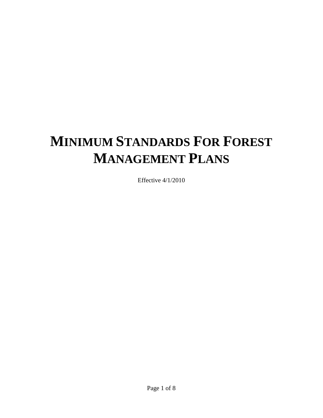## **MINIMUM STANDARDS FOR FOREST MANAGEMENT PLANS**

Effective 4/1/2010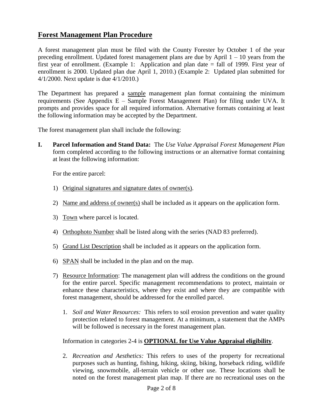## **Forest Management Plan Procedure**

A forest management plan must be filed with the County Forester by October 1 of the year preceding enrollment. Updated forest management plans are due by April  $1 - 10$  years from the first year of enrollment. (Example 1: Application and plan date = fall of 1999. First year of enrollment is 2000. Updated plan due April 1, 2010.) (Example 2: Updated plan submitted for 4/1/2000. Next update is due 4/1/2010.)

The Department has prepared a sample management plan format containing the minimum requirements (See Appendix E – Sample Forest Management Plan) for filing under UVA. It prompts and provides space for all required information. Alternative formats containing at least the following information may be accepted by the Department.

The forest management plan shall include the following:

**I. Parcel Information and Stand Data:** The *Use Value Appraisal Forest Management Plan* form completed according to the following instructions or an alternative format containing at least the following information:

For the entire parcel:

- 1) Original signatures and signature dates of owner(s).
- 2) Name and address of owner(s) shall be included as it appears on the application form.
- 3) Town where parcel is located.
- 4) Orthophoto Number shall be listed along with the series (NAD 83 preferred).
- 5) Grand List Description shall be included as it appears on the application form.
- 6) SPAN shall be included in the plan and on the map.
- 7) Resource Information: The management plan will address the conditions on the ground for the entire parcel. Specific management recommendations to protect, maintain or enhance these characteristics, where they exist and where they are compatible with forest management, should be addressed for the enrolled parcel.
	- 1. *Soil and Water Resources:* This refers to soil erosion prevention and water quality protection related to forest management. At a minimum, a statement that the AMPs will be followed is necessary in the forest management plan.

Information in categories 2-4 is **OPTIONAL for Use Value Appraisal eligibility**.

2. *Recreation and Aesthetics:* This refers to uses of the property for recreational purposes such as hunting, fishing, hiking, skiing, biking, horseback riding, wildlife viewing, snowmobile, all-terrain vehicle or other use. These locations shall be noted on the forest management plan map. If there are no recreational uses on the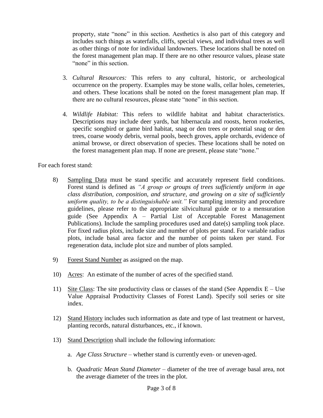property, state "none" in this section. Aesthetics is also part of this category and includes such things as waterfalls, cliffs, special views, and individual trees as well as other things of note for individual landowners. These locations shall be noted on the forest management plan map. If there are no other resource values, please state "none" in this section.

- 3. *Cultural Resources:* This refers to any cultural, historic, or archeological occurrence on the property. Examples may be stone walls, cellar holes, cemeteries, and others. These locations shall be noted on the forest management plan map. If there are no cultural resources, please state "none" in this section.
- 4. *Wildlife Habitat:* This refers to wildlife habitat and habitat characteristics. Descriptions may include deer yards, bat hibernacula and roosts, heron rookeries, specific songbird or game bird habitat, snag or den trees or potential snag or den trees, coarse woody debris, vernal pools, beech groves, apple orchards, evidence of animal browse, or direct observation of species. These locations shall be noted on the forest management plan map. If none are present, please state "none."

For each forest stand:

- 8) Sampling Data must be stand specific and accurately represent field conditions. Forest stand is defined as *"A group or groups of trees sufficiently uniform in age class distribution, composition, and structure, and growing on a site of sufficiently uniform quality, to be a distinguishable unit."* For sampling intensity and procedure guidelines, please refer to the appropriate silvicultural guide or to a mensuration guide (See Appendix A – Partial List of Acceptable Forest Management Publications). Include the sampling procedures used and date(s) sampling took place. For fixed radius plots, include size and number of plots per stand. For variable radius plots, include basal area factor and the number of points taken per stand. For regeneration data, include plot size and number of plots sampled.
- 9) Forest Stand Number as assigned on the map.
- 10) Acres: An estimate of the number of acres of the specified stand.
- 11) Site Class: The site productivity class or classes of the stand (See Appendix  $E Use$ Value Appraisal Productivity Classes of Forest Land). Specify soil series or site index.
- 12) Stand History includes such information as date and type of last treatment or harvest, planting records, natural disturbances, etc., if known.
- 13) Stand Description shall include the following information:
	- a. *Age Class Structure* whether stand is currently even- or uneven-aged.
	- b. *Quadratic Mean Stand Diameter* diameter of the tree of average basal area, not the average diameter of the trees in the plot.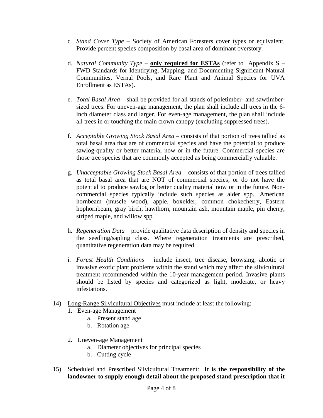- c. *Stand Cover Type* Society of American Foresters cover types or equivalent. Provide percent species composition by basal area of dominant overstory.
- d. *Natural Community Type* **only required for ESTAs** (refer to Appendix S FWD Standards for Identifying, Mapping, and Documenting Significant Natural Communities, Vernal Pools, and Rare Plant and Animal Species for UVA Enrollment as ESTAs).
- e. *Total Basal Area* shall be provided for all stands of poletimber- and sawtimbersized trees. For uneven-age management, the plan shall include all trees in the 6 inch diameter class and larger. For even-age management, the plan shall include all trees in or touching the main crown canopy (excluding suppressed trees).
- f. *Acceptable Growing Stock Basal Area* consists of that portion of trees tallied as total basal area that are of commercial species and have the potential to produce sawlog-quality or better material now or in the future. Commercial species are those tree species that are commonly accepted as being commercially valuable.
- g. *Unacceptable Growing Stock Basal Area* consists of that portion of trees tallied as total basal area that are NOT of commercial species, or do not have the potential to produce sawlog or better quality material now or in the future. Noncommercial species typically include such species as alder spp., American hornbeam (muscle wood), apple, boxelder, common chokecherry, Eastern hophornbeam, gray birch, hawthorn, mountain ash, mountain maple, pin cherry, striped maple, and willow spp.
- h. *Regeneration Data* provide qualitative data description of density and species in the seedling/sapling class. Where regeneration treatments are prescribed, quantitative regeneration data may be required.
- i. *Forest Health Conditions* include insect, tree disease, browsing, abiotic or invasive exotic plant problems within the stand which may affect the silvicultural treatment recommended within the 10-year management period. Invasive plants should be listed by species and categorized as light, moderate, or heavy infestations.
- 14) Long-Range Silvicultural Objectives must include at least the following:
	- 1. Even-age Management
		- a. Present stand age
		- b. Rotation age
	- 2. Uneven-age Management
		- a. Diameter objectives for principal species
		- b. Cutting cycle
- 15) Scheduled and Prescribed Silvicultural Treatment: **It is the responsibility of the landowner to supply enough detail about the proposed stand prescription that it**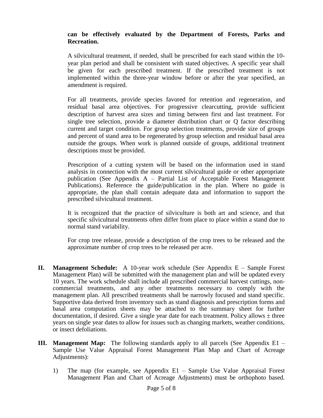## **can be effectively evaluated by the Department of Forests, Parks and Recreation.**

A silvicultural treatment, if needed, shall be prescribed for each stand within the 10 year plan period and shall be consistent with stated objectives. A specific year shall be given for each prescribed treatment. If the prescribed treatment is not implemented within the three-year window before or after the year specified, an amendment is required.

For all treatments, provide species favored for retention and regeneration, and residual basal area objectives. For progressive clearcutting, provide sufficient description of harvest area sizes and timing between first and last treatment. For single tree selection, provide a diameter distribution chart or Q factor describing current and target condition. For group selection treatments, provide size of groups and percent of stand area to be regenerated by group selection and residual basal area outside the groups. When work is planned outside of groups, additional treatment descriptions must be provided.

Prescription of a cutting system will be based on the information used in stand analysis in connection with the most current silvicultural guide or other appropriate publication (See Appendix A – Partial List of Acceptable Forest Management Publications). Reference the guide/publication in the plan. Where no guide is appropriate, the plan shall contain adequate data and information to support the prescribed silvicultural treatment.

It is recognized that the practice of silviculture is both art and science, and that specific silvicultural treatments often differ from place to place within a stand due to normal stand variability.

For crop tree release, provide a description of the crop trees to be released and the approximate number of crop trees to be released per acre.

- **II. Management Schedule:** A 10-year work schedule (See Appendix E Sample Forest Management Plan) will be submitted with the management plan and will be updated every 10 years. The work schedule shall include all prescribed commercial harvest cuttings, noncommercial treatments, and any other treatments necessary to comply with the management plan. All prescribed treatments shall be narrowly focused and stand specific. Supportive data derived from inventory such as stand diagnosis and prescription forms and basal area computation sheets may be attached to the summary sheet for further documentation, if desired. Give a single year date for each treatment. Policy allows  $\pm$  three years on single year dates to allow for issues such as changing markets, weather conditions, or insect defoliations.
- **III. Management Map:** The following standards apply to all parcels (See Appendix E1 Sample Use Value Appraisal Forest Management Plan Map and Chart of Acreage Adjustments):
	- 1) The map (for example, see Appendix E1 Sample Use Value Appraisal Forest Management Plan and Chart of Acreage Adjustments) must be orthophoto based.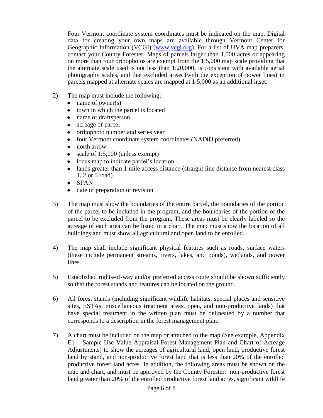Four Vermont coordinate system coordinates must be indicated on the map. Digital data for creating your own maps are available through Vermont Center for Geographic Information (VCGI) [\(www.vcgi.org\)](http://www.vcgi.org/). For a list of UVA map preparers, contact your County Forester. Maps of parcels larger than 1,000 acres or appearing on more than four orthophotos are exempt from the 1:5,000 map scale providing that the alternate scale used is not less than 1:20,000, is consistent with available aerial photography scales, and that excluded areas (with the exception of power lines) in parcels mapped at alternate scales are mapped at 1:5,000 as an additional inset.

- 2) The map must include the following:
	- name of owner(s)  $\bullet$
	- town in which the parcel is located  $\bullet$
	- name of draftsperson  $\bullet$
	- acreage of parcel  $\bullet$
	- orthophoto number and series year  $\bullet$
	- four Vermont coordinate system coordinates (NAD83 preferred)
	- $\bullet$ north arrow
	- $\bullet$ scale of 1:5,000 (unless exempt)
	- locus map to indicate parcel's location
	- lands greater than 1 mile access distance (straight line distance from nearest class  $\bullet$ 1, 2 or 3 road)
	- SPAN
	- date of preparation or revision
- 3) The map must show the boundaries of the entire parcel, the boundaries of the portion of the parcel to be included in the program, and the boundaries of the portion of the parcel to be excluded from the program. These areas must be clearly labeled so the acreage of each area can be listed in a chart. The map must show the location of all buildings and must show all agricultural and open land to be enrolled.
- 4) The map shall include significant physical features such as roads, surface waters (these include permanent streams, rivers, lakes, and ponds), wetlands, and power lines.
- 5) Established rights-of-way and/or preferred access route should be shown sufficiently so that the forest stands and features can be located on the ground.
- 6) All forest stands (including significant wildlife habitats, special places and sensitive sites, ESTAs, miscellaneous treatment areas, open, and non-productive lands) that have special treatment in the written plan must be delineated by a number that corresponds to a description in the forest management plan.
- 7) A chart must be included on the map or attached to the map (See example, Appendix E1 – Sample Use Value Appraisal Forest Management Plan and Chart of Acreage Adjustments) to show the acreages of agricultural land, open land, productive forest land by stand, and non-productive forest land that is less than 20% of the enrolled productive forest land acres. In addition, the following areas must be shown on the map and chart, and must be approved by the County Forester: non-productive forest land greater than 20% of the enrolled productive forest land acres, significant wildlife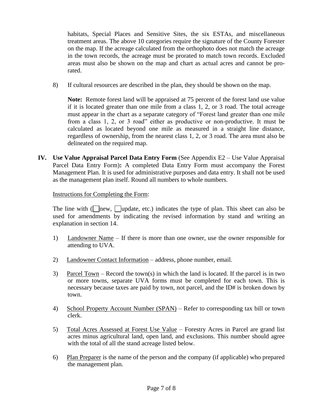habitats, Special Places and Sensitive Sites, the six ESTAs, and miscellaneous treatment areas. The above 10 categories require the signature of the County Forester on the map. If the acreage calculated from the orthophoto does not match the acreage in the town records, the acreage must be prorated to match town records. Excluded areas must also be shown on the map and chart as actual acres and cannot be prorated.

8) If cultural resources are described in the plan, they should be shown on the map.

**Note:** Remote forest land will be appraised at 75 percent of the forest land use value if it is located greater than one mile from a class 1, 2, or 3 road. The total acreage must appear in the chart as a separate category of "Forest land greater than one mile from a class  $1, 2$ , or  $3$  road" either as productive or non-productive. It must be calculated as located beyond one mile as measured in a straight line distance, regardless of ownership, from the nearest class 1, 2, or 3 road. The area must also be delineated on the required map.

**IV. Use Value Appraisal Parcel Data Entry Form** (See Appendix E2 – Use Value Appraisal Parcel Data Entry Form)**:** A completed Data Entry Form must accompany the Forest Management Plan. It is used for administrative purposes and data entry. It shall not be used as the management plan itself. Round all numbers to whole numbers.

Instructions for Completing the Form:

The line with ( $\Box$ new,  $\Box$ update, etc.) indicates the type of plan. This sheet can also be used for amendments by indicating the revised information by stand and writing an explanation in section 14.

- 1) Landowner Name If there is more than one owner, use the owner responsible for attending to UVA.
- 2) Landowner Contact Information address, phone number, email.
- 3) Parcel Town Record the town(s) in which the land is located. If the parcel is in two or more towns, separate UVA forms must be completed for each town. This is necessary because taxes are paid by town, not parcel, and the ID# is broken down by town.
- 4) School Property Account Number (SPAN) Refer to corresponding tax bill or town clerk.
- 5) Total Acres Assessed at Forest Use Value Forestry Acres in Parcel are grand list acres minus agricultural land, open land, and exclusions. This number should agree with the total of all the stand acreage listed below.
- 6) Plan Preparer is the name of the person and the company (if applicable) who prepared the management plan.